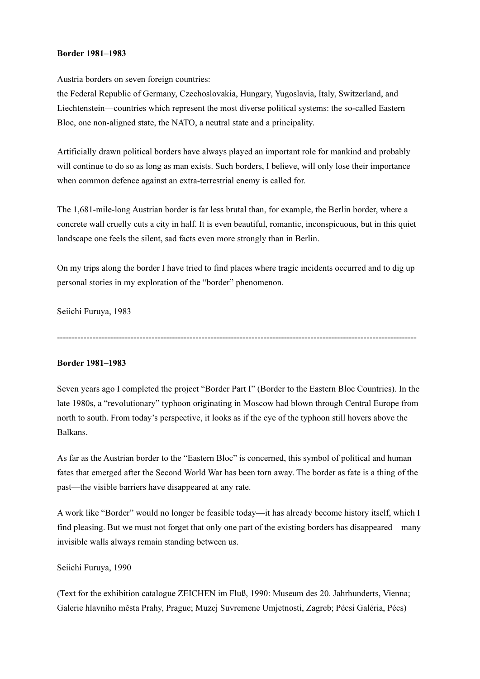## Border 1981–1983

Austria borders on seven foreign countries:

the Federal Republic of Germany, Czechoslovakia, Hungary, Yugoslavia, Italy, Switzerland, and Liechtenstein—countries which represent the most diverse political systems: the so-called Eastern Bloc, one non-aligned state, the NATO, a neutral state and a principality.

Artificially drawn political borders have always played an important role for mankind and probably will continue to do so as long as man exists. Such borders, I believe, will only lose their importance when common defence against an extra-terrestrial enemy is called for.

The 1,681-mile-long Austrian border is far less brutal than, for example, the Berlin border, where a concrete wall cruelly cuts a city in half. It is even beautiful, romantic, inconspicuous, but in this quiet landscape one feels the silent, sad facts even more strongly than in Berlin.

On my trips along the border I have tried to find places where tragic incidents occurred and to dig up personal stories in my exploration of the "border" phenomenon.

Seiichi Furuya, 1983

--------------------------------------------------------------------------------------------------------------------------

## Border 1981–1983

Seven years ago I completed the project "Border Part I" (Border to the Eastern Bloc Countries). In the late 1980s, a "revolutionary" typhoon originating in Moscow had blown through Central Europe from north to south. From today's perspective, it looks as if the eye of the typhoon still hovers above the Balkans.

As far as the Austrian border to the "Eastern Bloc" is concerned, this symbol of political and human fates that emerged after the Second World War has been torn away. The border as fate is a thing of the past—the visible barriers have disappeared at any rate.

A work like "Border" would no longer be feasible today—it has already become history itself, which I find pleasing. But we must not forget that only one part of the existing borders has disappeared—many invisible walls always remain standing between us.

## Seiichi Furuya, 1990

(Text for the exhibition catalogue ZEICHEN im Fluß, 1990: Museum des 20. Jahrhunderts, Vienna; Galerie hlavního města Prahy, Prague; Muzej Suvremene Umjetnosti, Zagreb; Pécsi Galéria, Pécs)